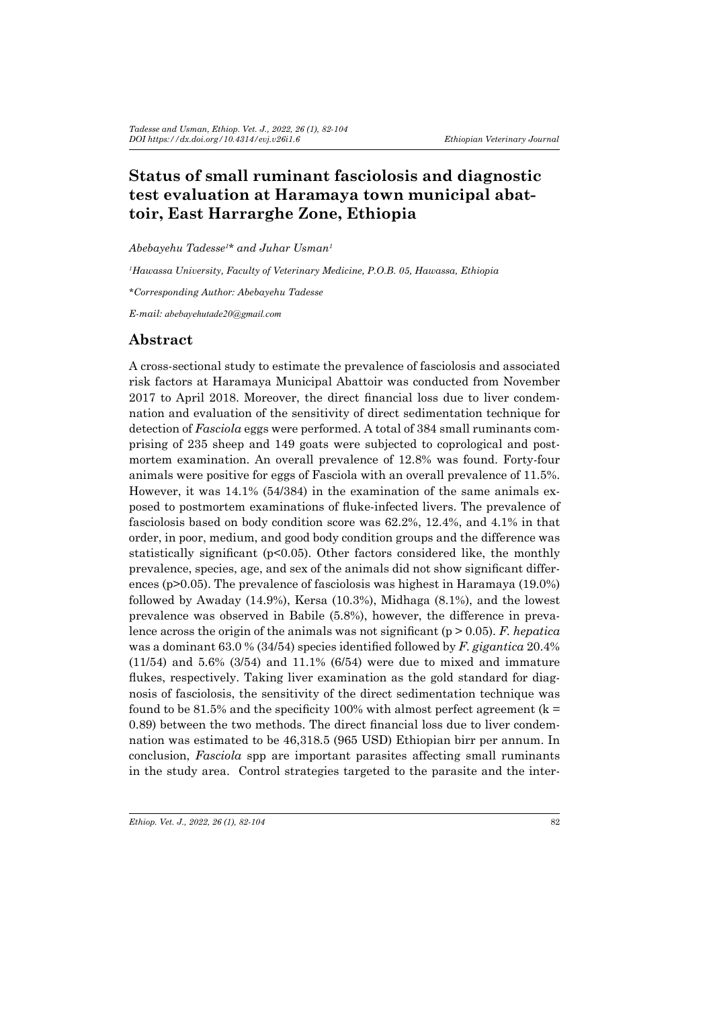# **Status of small ruminant fasciolosis and diagnostic test evaluation at Haramaya town municipal abattoir, East Harrarghe Zone, Ethiopia**

*Abebayehu Tadesse<sup>1</sup> \* and Juhar Usman<sup>1</sup>*

*1 Hawassa University, Faculty of Veterinary Medicine, P.O.B. 05, Hawassa, Ethiopia*

*\*Corresponding Author: Abebayehu Tadesse*

*E-mail: abebayehutade20@gmail.com*

### **Abstract**

A cross-sectional study to estimate the prevalence of fasciolosis and associated risk factors at Haramaya Municipal Abattoir was conducted from November 2017 to April 2018. Moreover, the direct financial loss due to liver condemnation and evaluation of the sensitivity of direct sedimentation technique for detection of *Fasciola* eggs were performed. A total of 384 small ruminants comprising of 235 sheep and 149 goats were subjected to coprological and postmortem examination. An overall prevalence of 12.8% was found. Forty-four animals were positive for eggs of Fasciola with an overall prevalence of 11.5%. However, it was 14.1% (54/384) in the examination of the same animals exposed to postmortem examinations of fluke-infected livers. The prevalence of fasciolosis based on body condition score was 62.2%, 12.4%, and 4.1% in that order, in poor, medium, and good body condition groups and the difference was statistically significant ( $p<0.05$ ). Other factors considered like, the monthly prevalence, species, age, and sex of the animals did not show significant differences (p>0.05). The prevalence of fasciolosis was highest in Haramaya (19.0%) followed by Awaday (14.9%), Kersa (10.3%), Midhaga (8.1%), and the lowest prevalence was observed in Babile (5.8%), however, the difference in prevalence across the origin of the animals was not significant (p > 0.05). *F. hepatica* was a dominant 63.0 % (34/54) species identified followed by *F. gigantica* 20.4% (11/54) and 5.6% (3/54) and 11.1% (6/54) were due to mixed and immature flukes, respectively. Taking liver examination as the gold standard for diagnosis of fasciolosis, the sensitivity of the direct sedimentation technique was found to be 81.5% and the specificity 100% with almost perfect agreement ( $k =$ 0.89) between the two methods. The direct financial loss due to liver condemnation was estimated to be 46,318.5 (965 USD) Ethiopian birr per annum. In conclusion, *Fasciola* spp are important parasites affecting small ruminants in the study area. Control strategies targeted to the parasite and the inter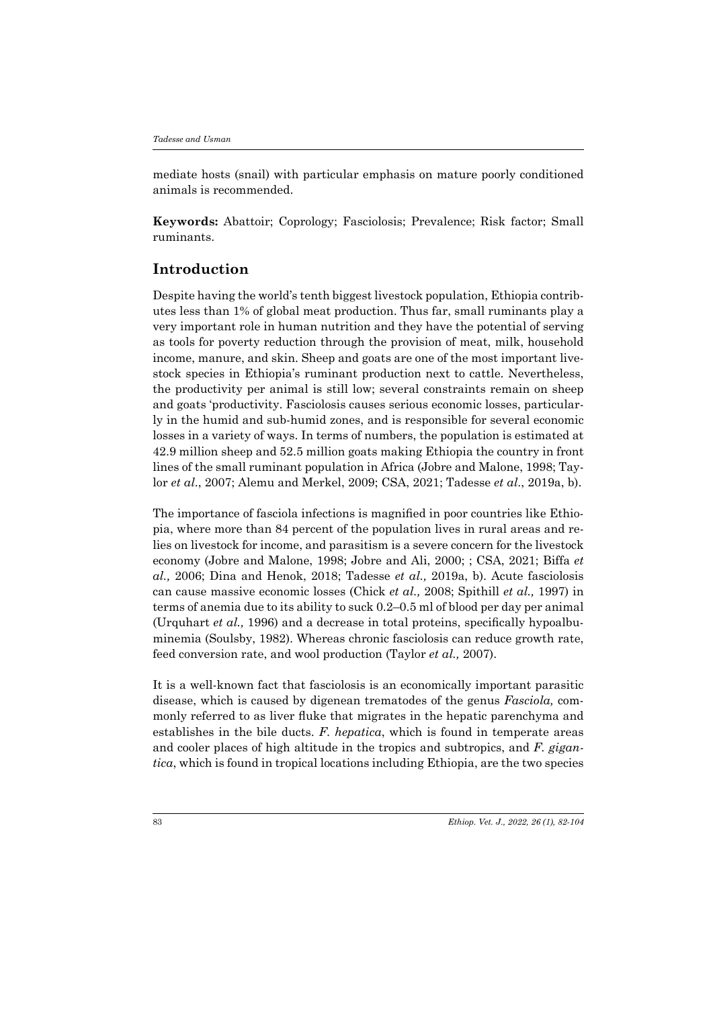mediate hosts (snail) with particular emphasis on mature poorly conditioned animals is recommended.

**Keywords:** Abattoir; Coprology; Fasciolosis; Prevalence; Risk factor; Small ruminants.

# **Introduction**

Despite having the world's tenth biggest livestock population, Ethiopia contributes less than 1% of global meat production. Thus far, small ruminants play a very important role in human nutrition and they have the potential of serving as tools for poverty reduction through the provision of meat, milk, household income, manure, and skin. Sheep and goats are one of the most important livestock species in Ethiopia's ruminant production next to cattle. Nevertheless, the productivity per animal is still low; several constraints remain on sheep and goats 'productivity. Fasciolosis causes serious economic losses, particularly in the humid and sub-humid zones, and is responsible for several economic losses in a variety of ways. In terms of numbers, the population is estimated at 42.9 million sheep and 52.5 million goats making Ethiopia the country in front lines of the small ruminant population in Africa (Jobre and Malone, 1998; Taylor *et al*., 2007; Alemu and Merkel, 2009; CSA, 2021; Tadesse *et al*., 2019a, b).

The importance of fasciola infections is magnified in poor countries like Ethiopia, where more than 84 percent of the population lives in rural areas and relies on livestock for income, and parasitism is a severe concern for the livestock economy (Jobre and Malone, 1998; Jobre and Ali, 2000; ; CSA, 2021; Biffa *et al.,* 2006; Dina and Henok, 2018; Tadesse *et al.,* 2019a, b). Acute fasciolosis can cause massive economic losses (Chick *et al.,* 2008; Spithill *et al.,* 1997) in terms of anemia due to its ability to suck 0.2–0.5 ml of blood per day per animal (Urquhart *et al.,* 1996) and a decrease in total proteins, specifically hypoalbuminemia (Soulsby, 1982). Whereas chronic fasciolosis can reduce growth rate, feed conversion rate, and wool production (Taylor *et al.,* 2007).

It is a well-known fact that fasciolosis is an economically important parasitic disease, which is caused by digenean trematodes of the genus *Fasciola,* commonly referred to as liver fluke that migrates in the hepatic parenchyma and establishes in the bile ducts. *F. hepatica*, which is found in temperate areas and cooler places of high altitude in the tropics and subtropics, and *F. gigantica*, which is found in tropical locations including Ethiopia, are the two species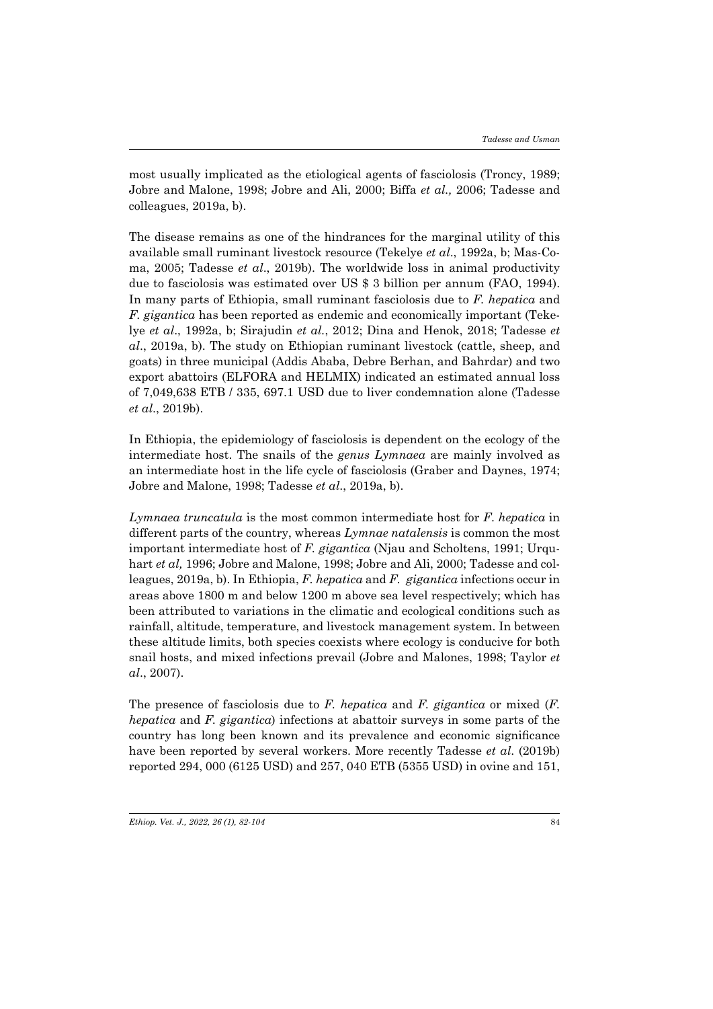most usually implicated as the etiological agents of fasciolosis (Troncy, 1989; Jobre and Malone, 1998; Jobre and Ali, 2000; Biffa *et al.,* 2006; Tadesse and colleagues, 2019a, b).

The disease remains as one of the hindrances for the marginal utility of this available small ruminant livestock resource (Tekelye *et al*., 1992a, b; Mas-Coma, 2005; Tadesse *et al*., 2019b). The worldwide loss in animal productivity due to fasciolosis was estimated over US \$ 3 billion per annum (FAO, 1994). In many parts of Ethiopia, small ruminant fasciolosis due to *F. hepatica* and *F. gigantica* has been reported as endemic and economically important (Tekelye *et al*., 1992a, b; Sirajudin *et al.*, 2012; Dina and Henok, 2018; Tadesse *et al*., 2019a, b). The study on Ethiopian ruminant livestock (cattle, sheep, and goats) in three municipal (Addis Ababa, Debre Berhan, and Bahrdar) and two export abattoirs (ELFORA and HELMIX) indicated an estimated annual loss of 7,049,638 ETB / 335, 697.1 USD due to liver condemnation alone (Tadesse *et al*., 2019b).

In Ethiopia, the epidemiology of fasciolosis is dependent on the ecology of the intermediate host. The snails of the *genus Lymnaea* are mainly involved as an intermediate host in the life cycle of fasciolosis (Graber and Daynes, 1974; Jobre and Malone, 1998; Tadesse *et al*., 2019a, b).

*Lymnaea truncatula* is the most common intermediate host for *F*. *hepatica* in different parts of the country, whereas *Lymnae natalensis* is common the most important intermediate host of *F. gigantica* (Njau and Scholtens, 1991; Urquhart *et al,* 1996; Jobre and Malone, 1998; Jobre and Ali, 2000; Tadesse and colleagues, 2019a, b). In Ethiopia, *F. hepatica* and *F. gigantica* infections occur in areas above 1800 m and below 1200 m above sea level respectively; which has been attributed to variations in the climatic and ecological conditions such as rainfall, altitude, temperature, and livestock management system. In between these altitude limits, both species coexists where ecology is conducive for both snail hosts, and mixed infections prevail (Jobre and Malones, 1998; Taylor *et al*., 2007).

The presence of fasciolosis due to *F. hepatica* and *F. gigantica* or mixed (*F. hepatica* and *F. gigantica*) infections at abattoir surveys in some parts of the country has long been known and its prevalence and economic significance have been reported by several workers. More recently Tadesse *et al*. (2019b) reported 294, 000 (6125 USD) and 257, 040 ETB (5355 USD) in ovine and 151,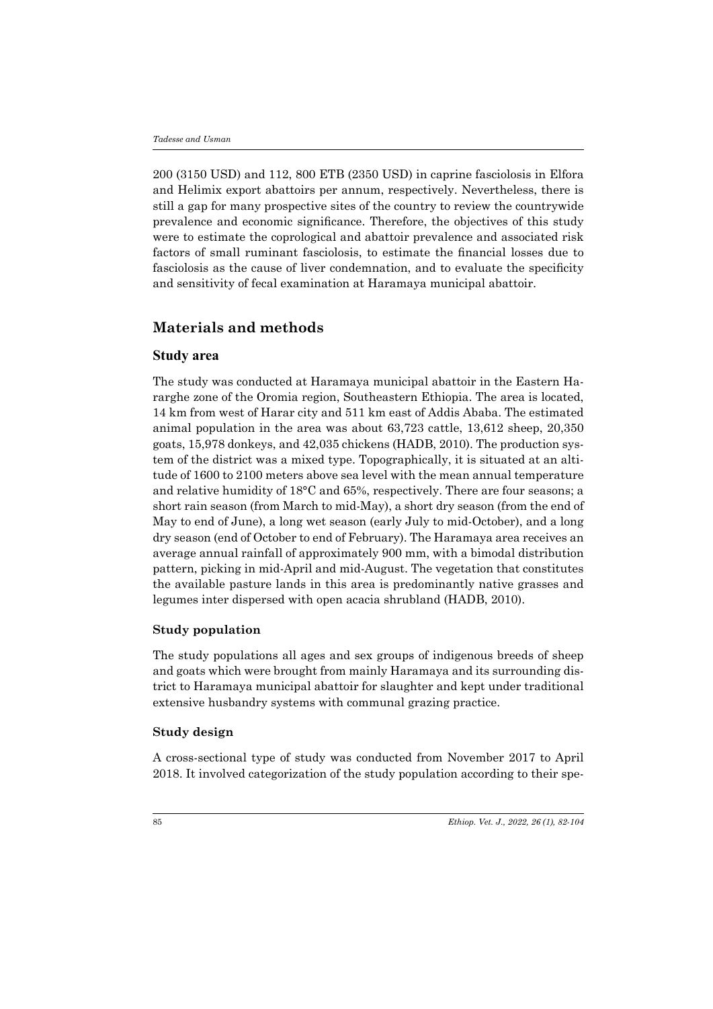200 (3150 USD) and 112, 800 ETB (2350 USD) in caprine fasciolosis in Elfora and Helimix export abattoirs per annum, respectively. Nevertheless, there is still a gap for many prospective sites of the country to review the countrywide prevalence and economic significance. Therefore, the objectives of this study were to estimate the coprological and abattoir prevalence and associated risk factors of small ruminant fasciolosis, to estimate the financial losses due to fasciolosis as the cause of liver condemnation, and to evaluate the specificity and sensitivity of fecal examination at Haramaya municipal abattoir.

# **Materials and methods**

#### **Study area**

The study was conducted at Haramaya municipal abattoir in the Eastern Hararghe zone of the Oromia region, Southeastern Ethiopia. The area is located, 14 km from west of Harar city and 511 km east of Addis Ababa. The estimated animal population in the area was about 63,723 cattle, 13,612 sheep, 20,350 goats, 15,978 donkeys, and 42,035 chickens (HADB, 2010). The production system of the district was a mixed type. Topographically, it is situated at an altitude of 1600 to 2100 meters above sea level with the mean annual temperature and relative humidity of 18°C and 65%, respectively. There are four seasons; a short rain season (from March to mid-May), a short dry season (from the end of May to end of June), a long wet season (early July to mid-October), and a long dry season (end of October to end of February). The Haramaya area receives an average annual rainfall of approximately 900 mm, with a bimodal distribution pattern, picking in mid-April and mid-August. The vegetation that constitutes the available pasture lands in this area is predominantly native grasses and legumes inter dispersed with open acacia shrubland (HADB, 2010).

#### **Study population**

The study populations all ages and sex groups of indigenous breeds of sheep and goats which were brought from mainly Haramaya and its surrounding district to Haramaya municipal abattoir for slaughter and kept under traditional extensive husbandry systems with communal grazing practice.

#### **Study design**

A cross-sectional type of study was conducted from November 2017 to April 2018. It involved categorization of the study population according to their spe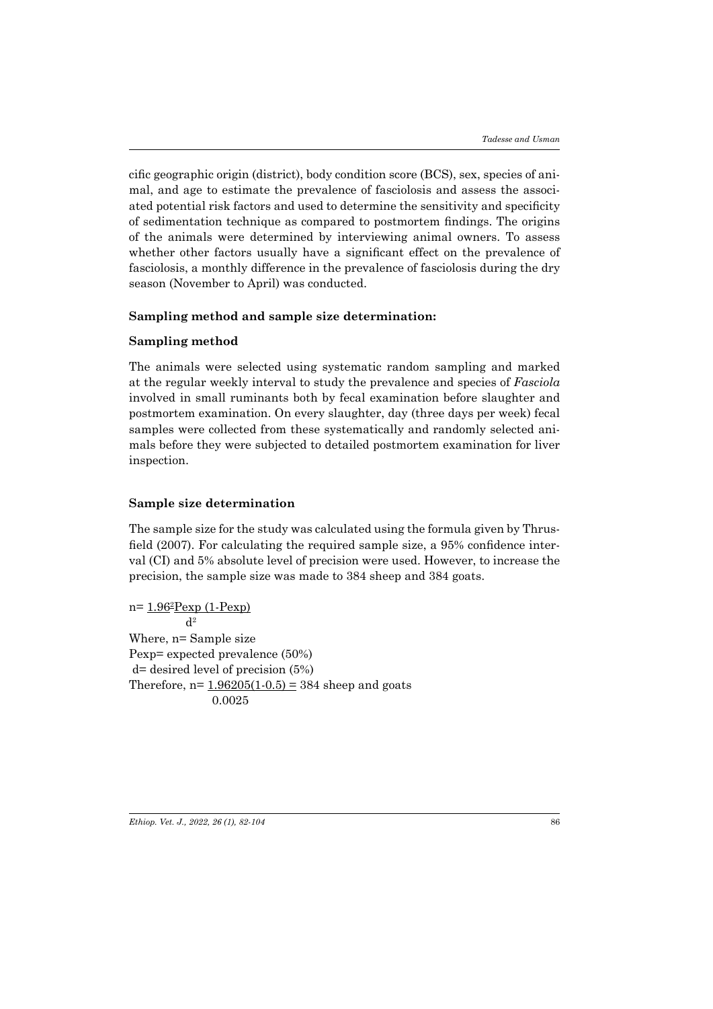cific geographic origin (district), body condition score (BCS), sex, species of animal, and age to estimate the prevalence of fasciolosis and assess the associated potential risk factors and used to determine the sensitivity and specificity of sedimentation technique as compared to postmortem findings. The origins of the animals were determined by interviewing animal owners. To assess whether other factors usually have a significant effect on the prevalence of fasciolosis, a monthly difference in the prevalence of fasciolosis during the dry season (November to April) was conducted.

#### **Sampling method and sample size determination:**

#### **Sampling method**

The animals were selected using systematic random sampling and marked at the regular weekly interval to study the prevalence and species of *Fasciola*  involved in small ruminants both by fecal examination before slaughter and postmortem examination. On every slaughter, day (three days per week) fecal samples were collected from these systematically and randomly selected animals before they were subjected to detailed postmortem examination for liver inspection.

# **Sample size determination**

The sample size for the study was calculated using the formula given by Thrusfield (2007). For calculating the required sample size, a 95% confidence interval (CI) and 5% absolute level of precision were used. However, to increase the precision, the sample size was made to 384 sheep and 384 goats.

n= <u>1.96</u>ªPexp (1-Pexp)  $d<sup>2</sup>$ Where, n= Sample size Pexp= expected prevalence (50%) d= desired level of precision (5%) Therefore,  $n = 1.96205(1-0.5) = 384$  sheep and goats 0.0025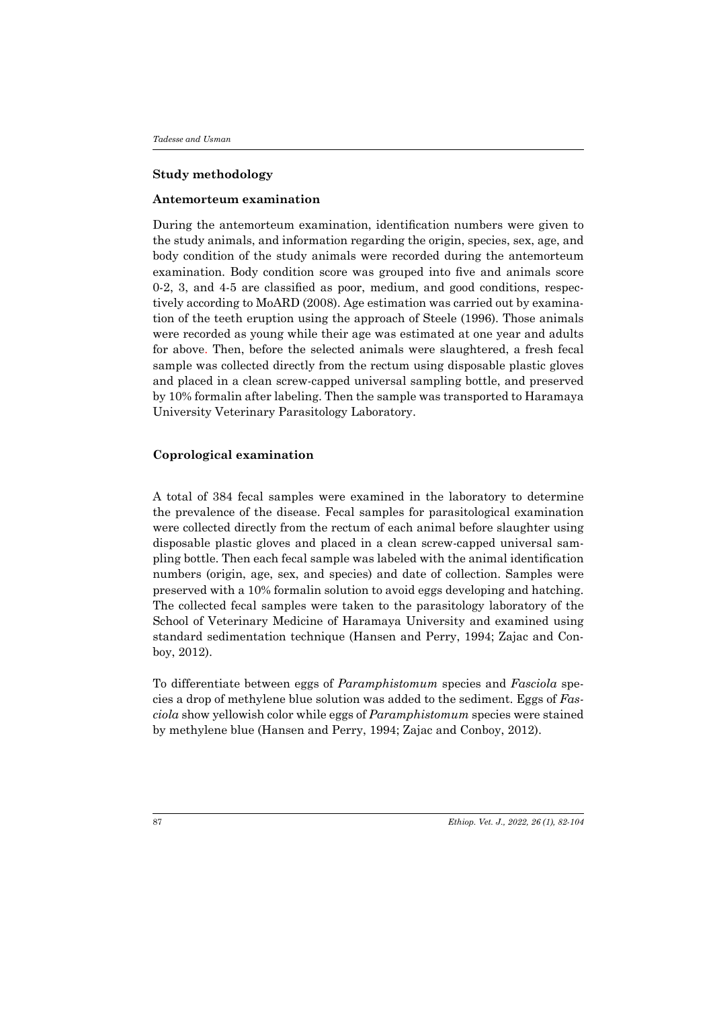#### **Study methodology**

#### **Antemorteum examination**

During the antemorteum examination, identification numbers were given to the study animals, and information regarding the origin, species, sex, age, and body condition of the study animals were recorded during the antemorteum examination. Body condition score was grouped into five and animals score 0-2, 3, and 4-5 are classified as poor, medium, and good conditions, respectively according to MoARD (2008). Age estimation was carried out by examination of the teeth eruption using the approach of Steele (1996). Those animals were recorded as young while their age was estimated at one year and adults for above. Then, before the selected animals were slaughtered, a fresh fecal sample was collected directly from the rectum using disposable plastic gloves and placed in a clean screw-capped universal sampling bottle, and preserved by 10% formalin after labeling. Then the sample was transported to Haramaya University Veterinary Parasitology Laboratory.

#### **Coprological examination**

A total of 384 fecal samples were examined in the laboratory to determine the prevalence of the disease. Fecal samples for parasitological examination were collected directly from the rectum of each animal before slaughter using disposable plastic gloves and placed in a clean screw-capped universal sampling bottle. Then each fecal sample was labeled with the animal identification numbers (origin, age, sex, and species) and date of collection. Samples were preserved with a 10% formalin solution to avoid eggs developing and hatching. The collected fecal samples were taken to the parasitology laboratory of the School of Veterinary Medicine of Haramaya University and examined using standard sedimentation technique (Hansen and Perry, 1994; Zajac and Conboy, 2012).

To differentiate between eggs of *Paramphistomum* species and *Fasciola* species a drop of methylene blue solution was added to the sediment. Eggs of *Fasciola* show yellowish color while eggs of *Paramphistomum* species were stained by methylene blue (Hansen and Perry, 1994; Zajac and Conboy, 2012).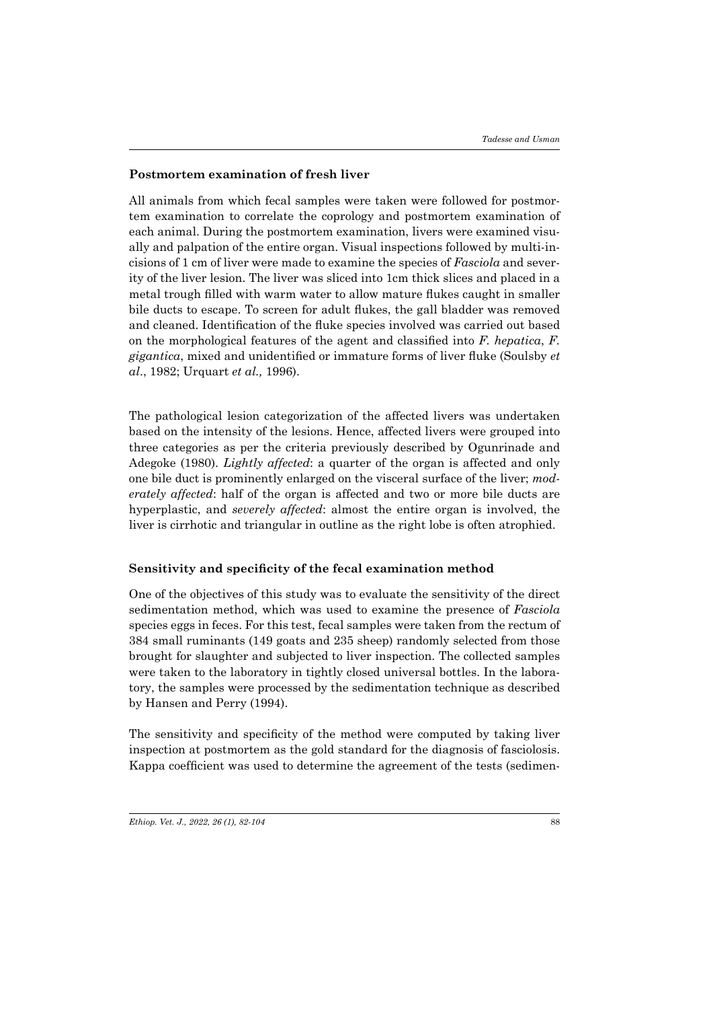#### **Postmortem examination of fresh liver**

All animals from which fecal samples were taken were followed for postmortem examination to correlate the coprology and postmortem examination of each animal. During the postmortem examination, livers were examined visually and palpation of the entire organ. Visual inspections followed by multi-incisions of 1 cm of liver were made to examine the species of *Fasciola* and severity of the liver lesion. The liver was sliced into 1cm thick slices and placed in a metal trough filled with warm water to allow mature flukes caught in smaller bile ducts to escape. To screen for adult flukes, the gall bladder was removed and cleaned. Identification of the fluke species involved was carried out based on the morphological features of the agent and classified into *F. hepatica*, *F. gigantica*, mixed and unidentified or immature forms of liver fluke (Soulsby *et al*., 1982; Urquart *et al.,* 1996).

The pathological lesion categorization of the affected livers was undertaken based on the intensity of the lesions. Hence, affected livers were grouped into three categories as per the criteria previously described by Ogunrinade and Adegoke (1980). *Lightly affected*: a quarter of the organ is affected and only one bile duct is prominently enlarged on the visceral surface of the liver; *moderately affected*: half of the organ is affected and two or more bile ducts are hyperplastic, and *severely affected*: almost the entire organ is involved, the liver is cirrhotic and triangular in outline as the right lobe is often atrophied.

#### **Sensitivity and specificity of the fecal examination method**

One of the objectives of this study was to evaluate the sensitivity of the direct sedimentation method, which was used to examine the presence of *Fasciola* species eggs in feces. For this test, fecal samples were taken from the rectum of 384 small ruminants (149 goats and 235 sheep) randomly selected from those brought for slaughter and subjected to liver inspection. The collected samples were taken to the laboratory in tightly closed universal bottles. In the laboratory, the samples were processed by the sedimentation technique as described by Hansen and Perry (1994).

The sensitivity and specificity of the method were computed by taking liver inspection at postmortem as the gold standard for the diagnosis of fasciolosis. Kappa coefficient was used to determine the agreement of the tests (sedimen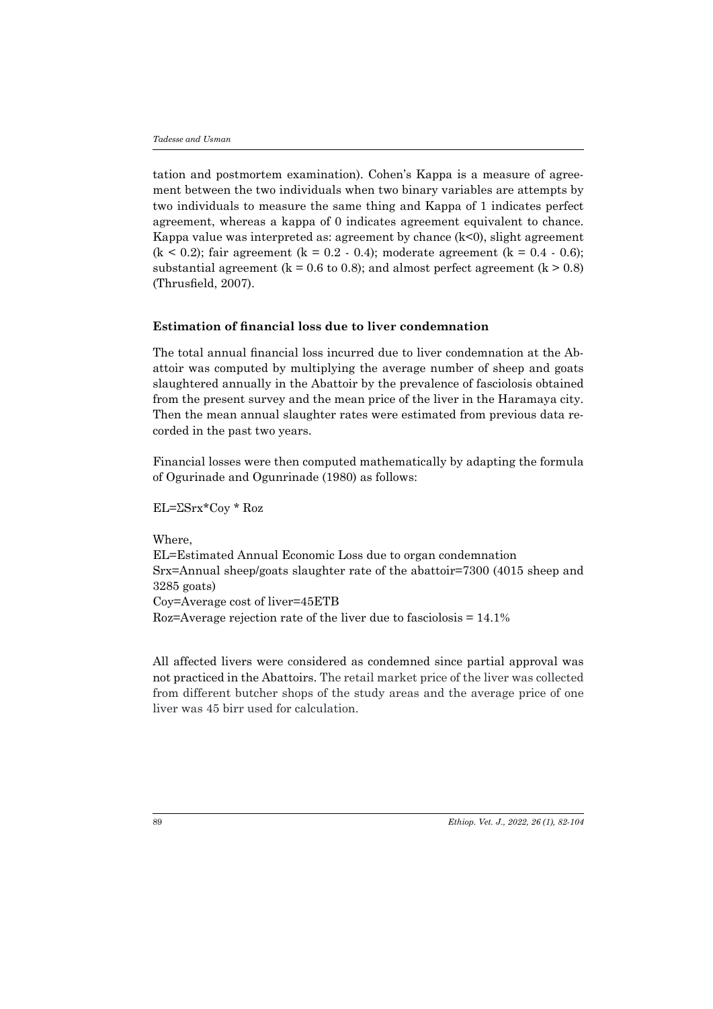tation and postmortem examination). Cohen's Kappa is a measure of agreement between the two individuals when two binary variables are attempts by two individuals to measure the same thing and Kappa of 1 indicates perfect agreement, whereas a kappa of 0 indicates agreement equivalent to chance. Kappa value was interpreted as: agreement by chance  $(k<0)$ , slight agreement  $(k < 0.2)$ ; fair agreement  $(k = 0.2 - 0.4)$ ; moderate agreement  $(k = 0.4 - 0.6)$ ; substantial agreement ( $k = 0.6$  to 0.8); and almost perfect agreement ( $k > 0.8$ ) (Thrusfield, 2007).

### **Estimation of financial loss due to liver condemnation**

The total annual financial loss incurred due to liver condemnation at the Abattoir was computed by multiplying the average number of sheep and goats slaughtered annually in the Abattoir by the prevalence of fasciolosis obtained from the present survey and the mean price of the liver in the Haramaya city. Then the mean annual slaughter rates were estimated from previous data recorded in the past two years.

Financial losses were then computed mathematically by adapting the formula of Ogurinade and Ogunrinade (1980) as follows:

EL=ΣSrx\*Coy \* Roz

Where,

EL=Estimated Annual Economic Loss due to organ condemnation Srx=Annual sheep/goats slaughter rate of the abattoir=7300 (4015 sheep and 3285 goats) Coy=Average cost of liver=45ETB

Roz=Average rejection rate of the liver due to fasciolosis = 14.1%

All affected livers were considered as condemned since partial approval was not practiced in the Abattoirs. The retail market price of the liver was collected from different butcher shops of the study areas and the average price of one liver was 45 birr used for calculation.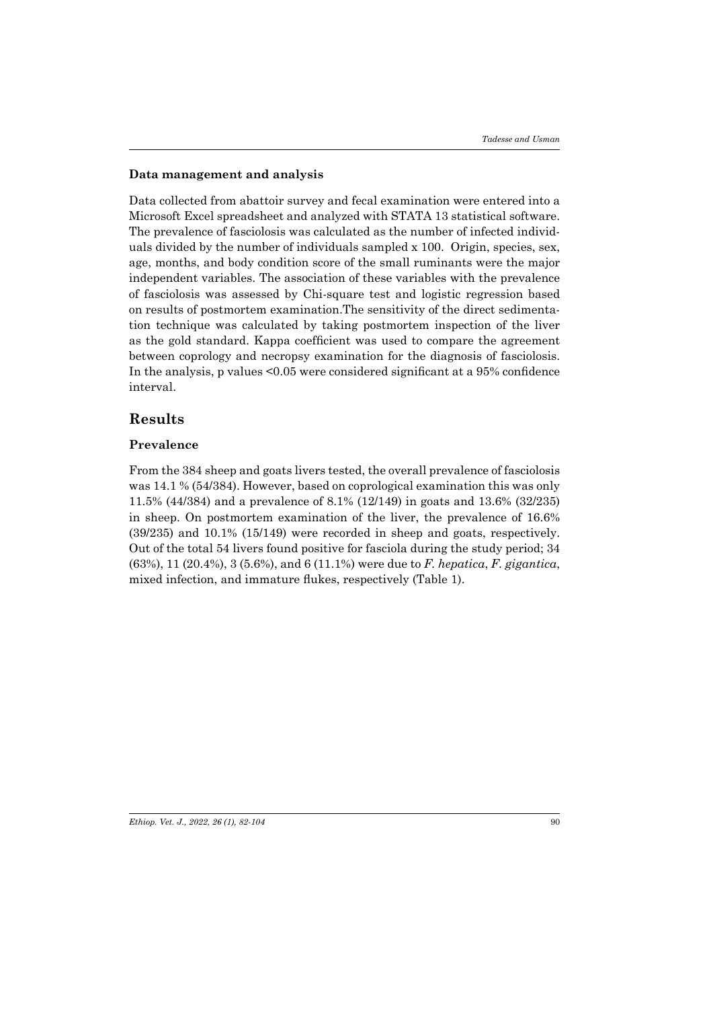#### **Data management and analysis**

Data collected from abattoir survey and fecal examination were entered into a Microsoft Excel spreadsheet and analyzed with STATA 13 statistical software. The prevalence of fasciolosis was calculated as the number of infected individuals divided by the number of individuals sampled x 100. Origin, species, sex, age, months, and body condition score of the small ruminants were the major independent variables. The association of these variables with the prevalence of fasciolosis was assessed by Chi-square test and logistic regression based on results of postmortem examination.The sensitivity of the direct sedimentation technique was calculated by taking postmortem inspection of the liver as the gold standard. Kappa coefficient was used to compare the agreement between coprology and necropsy examination for the diagnosis of fasciolosis. In the analysis, p values <0.05 were considered significant at a 95% confidence interval.

# **Results**

# **Prevalence**

From the 384 sheep and goats livers tested, the overall prevalence of fasciolosis was 14.1 % (54/384). However, based on coprological examination this was only 11.5% (44/384) and a prevalence of 8.1% (12/149) in goats and 13.6% (32/235) in sheep. On postmortem examination of the liver, the prevalence of 16.6% (39/235) and 10.1% (15/149) were recorded in sheep and goats, respectively. Out of the total 54 livers found positive for fasciola during the study period; 34 (63%), 11 (20.4%), 3 (5.6%), and 6 (11.1%) were due to *F. hepatica*, *F. gigantica*, mixed infection, and immature flukes, respectively (Table 1).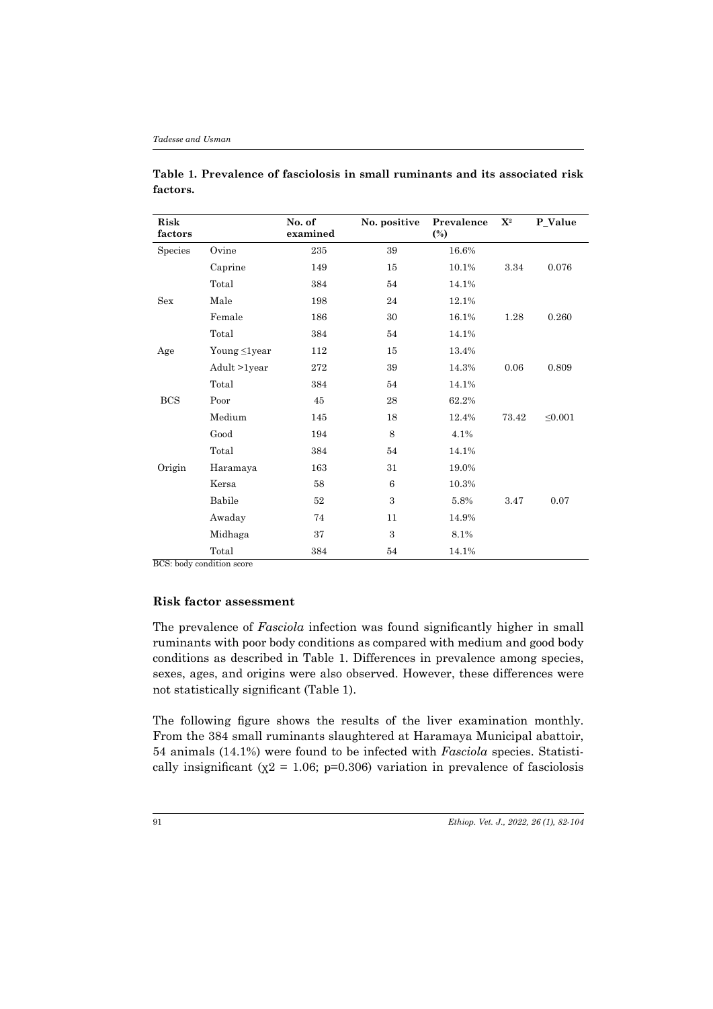| Risk<br>factors |                    | No. of<br>examined | No. positive | Prevalence<br>$\binom{0}{0}$ | $\mathbf{X}^2$ | P_Value      |
|-----------------|--------------------|--------------------|--------------|------------------------------|----------------|--------------|
| Species         | Ovine              | 235                | 39           | 16.6%                        |                |              |
|                 | Caprine            | 149                | 15           | 10.1%                        | 3.34           | 0.076        |
|                 | Total              | 384                | 54           | 14.1%                        |                |              |
| <b>Sex</b>      | Male               | 198                | 24           | 12.1%                        |                |              |
|                 | Female             | 186                | 30           | 16.1%                        | 1.28           | 0.260        |
|                 | Total              | 384                | 54           | 14.1%                        |                |              |
| Age             | Young $\leq$ 1year | 112                | 15           | 13.4%                        |                |              |
|                 | Adult >1year       | 272                | 39           | 14.3%                        | 0.06           | 0.809        |
|                 | Total              | 384                | 54           | 14.1%                        |                |              |
| <b>BCS</b>      | Poor               | 45                 | 28           | 62.2%                        |                |              |
|                 | Medium             | 145                | 18           | 12.4%                        | 73.42          | $\leq 0.001$ |
|                 | Good               | 194                | 8            | 4.1%                         |                |              |
|                 | Total              | 384                | 54           | 14.1%                        |                |              |
| Origin          | Haramaya           | 163                | 31           | 19.0%                        |                |              |
|                 | Kersa              | 58                 | 6            | 10.3%                        |                |              |
|                 | Babile             | 52                 | 3            | 5.8%                         | 3.47           | 0.07         |
|                 | Awaday             | 74                 | 11           | 14.9%                        |                |              |
|                 | Midhaga            | 37                 | 3            | 8.1%                         |                |              |
|                 | Total              | 384                | 54           | 14.1%                        |                |              |

**Table 1. Prevalence of fasciolosis in small ruminants and its associated risk factors.**

BCS: body condition score

#### **Risk factor assessment**

The prevalence of *Fasciola* infection was found significantly higher in small ruminants with poor body conditions as compared with medium and good body conditions as described in Table 1. Differences in prevalence among species, sexes, ages, and origins were also observed. However, these differences were not statistically significant (Table 1).

The following figure shows the results of the liver examination monthly. From the 384 small ruminants slaughtered at Haramaya Municipal abattoir, 54 animals (14.1%) were found to be infected with *Fasciola* species. Statistically insignificant ( $\chi$ 2 = 1.06; p=0.306) variation in prevalence of fasciolosis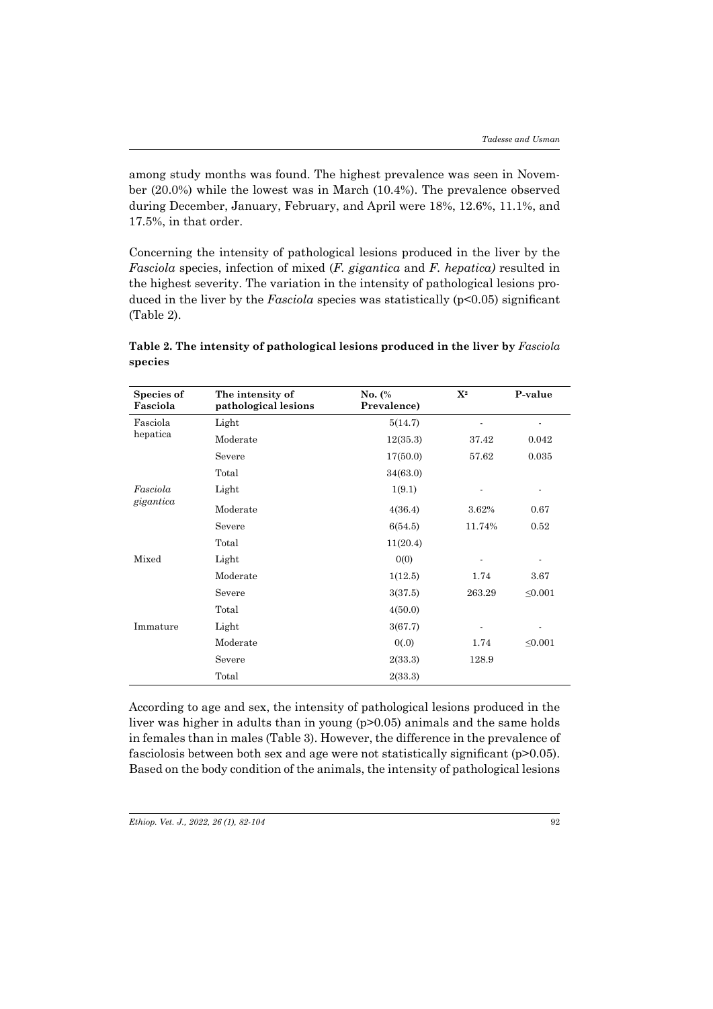among study months was found. The highest prevalence was seen in November (20.0%) while the lowest was in March (10.4%). The prevalence observed during December, January, February, and April were 18%, 12.6%, 11.1%, and 17.5%, in that order.

Concerning the intensity of pathological lesions produced in the liver by the *Fasciola* species, infection of mixed (*F. gigantica* and *F. hepatica)* resulted in the highest severity. The variation in the intensity of pathological lesions produced in the liver by the *Fasciola* species was statistically (p<0.05) significant (Table 2).

| Species of<br>Fasciola | The intensity of<br>pathological lesions | No. (%<br>Prevalence) | $\mathbf{X}^2$ | P-value      |
|------------------------|------------------------------------------|-----------------------|----------------|--------------|
| Fasciola               | Light                                    | 5(14.7)               |                |              |
| hepatica               | Moderate                                 | 12(35.3)              | 37.42          | 0.042        |
|                        | Severe                                   | 17(50.0)              | 57.62          | 0.035        |
|                        | Total                                    | 34(63.0)              |                |              |
| Fasciola<br>gigantica  | Light                                    | 1(9.1)                |                |              |
|                        | Moderate                                 | 4(36.4)               | 3.62%          | 0.67         |
|                        | Severe                                   | 6(54.5)               | 11.74%         | 0.52         |
|                        | Total                                    | 11(20.4)              |                |              |
| Mixed                  | Light                                    | 0(0)                  |                |              |
|                        | Moderate                                 | 1(12.5)               | 1.74           | 3.67         |
|                        | Severe                                   | 3(37.5)               | 263.29         | $\leq 0.001$ |
|                        | Total                                    | 4(50.0)               |                |              |
| Immature               | Light                                    | 3(67.7)               |                |              |
|                        | Moderate                                 | 0(.0)                 | 1.74           | $\leq 0.001$ |
|                        | Severe                                   | 2(33.3)               | 128.9          |              |
|                        | Total                                    | 2(33.3)               |                |              |

**Table 2. The intensity of pathological lesions produced in the liver by** *Fasciola* **species**

According to age and sex, the intensity of pathological lesions produced in the liver was higher in adults than in young (p>0.05) animals and the same holds in females than in males (Table 3). However, the difference in the prevalence of fasciolosis between both sex and age were not statistically significant (p>0.05). Based on the body condition of the animals, the intensity of pathological lesions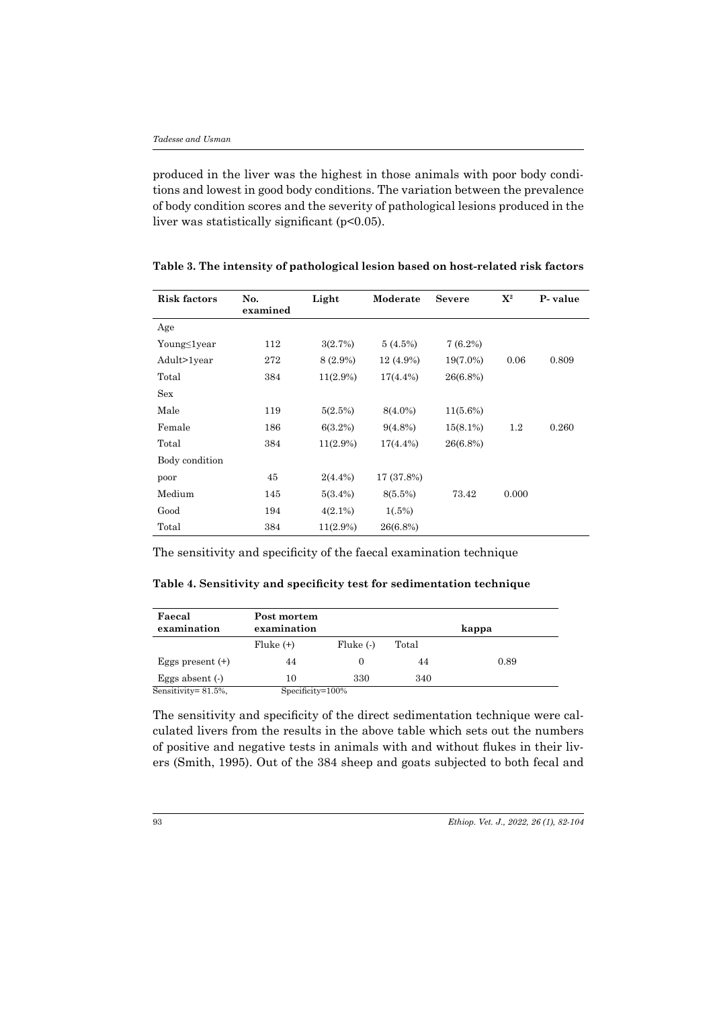produced in the liver was the highest in those animals with poor body conditions and lowest in good body conditions. The variation between the prevalence of body condition scores and the severity of pathological lesions produced in the liver was statistically significant (p<0.05).

| <b>Risk factors</b> | No.<br>examined | Light       | Moderate    | <b>Severe</b> | $\mathbf{X}^2$ | P-value |
|---------------------|-----------------|-------------|-------------|---------------|----------------|---------|
| Age                 |                 |             |             |               |                |         |
| Young≤1year         | 112             | 3(2.7%)     | 5(4.5%)     | $7(6.2\%)$    |                |         |
| Adult>1year         | 272             | 8 (2.9%)    | 12 (4.9%)   | $19(7.0\%)$   | 0.06           | 0.809   |
| Total               | 384             | $11(2.9\%)$ | $17(4.4\%)$ | 26(6.8%)      |                |         |
| Sex                 |                 |             |             |               |                |         |
| Male                | 119             | 5(2.5%)     | $8(4.0\%)$  | $11(5.6\%)$   |                |         |
| Female              | 186             | $6(3.2\%)$  | $9(4.8\%)$  | $15(8.1\%)$   | $1.2\,$        | 0.260   |
| Total               | 384             | $11(2.9\%)$ | $17(4.4\%)$ | 26(6.8%)      |                |         |
| Body condition      |                 |             |             |               |                |         |
| poor                | 45              | $2(4.4\%)$  | 17 (37.8%)  |               |                |         |
| Medium              | 145             | $5(3.4\%)$  | $8(5.5\%)$  | 73.42         | 0.000          |         |
| Good                | 194             | $4(2.1\%)$  | $1(.5\%)$   |               |                |         |
| Total               | 384             | $11(2.9\%)$ | 26(6.8%)    |               |                |         |

**Table 3. The intensity of pathological lesion based on host-related risk factors**

The sensitivity and specificity of the faecal examination technique

**Table 4. Sensitivity and specificity test for sedimentation technique**

| Faecal<br>examination | Post mortem<br>examination |          |       | kappa |
|-----------------------|----------------------------|----------|-------|-------|
|                       | $Fluke (+)$                | Fluke(.) | Total |       |
| Eggs present $(+)$    | 44                         | $\theta$ | 44    | 0.89  |
| Eggs absent $(\cdot)$ | 10                         | 330      | 340   |       |
| Sensitivity= 81.5%,   | Specificity=100%           |          |       |       |

The sensitivity and specificity of the direct sedimentation technique were calculated livers from the results in the above table which sets out the numbers of positive and negative tests in animals with and without flukes in their livers (Smith, 1995). Out of the 384 sheep and goats subjected to both fecal and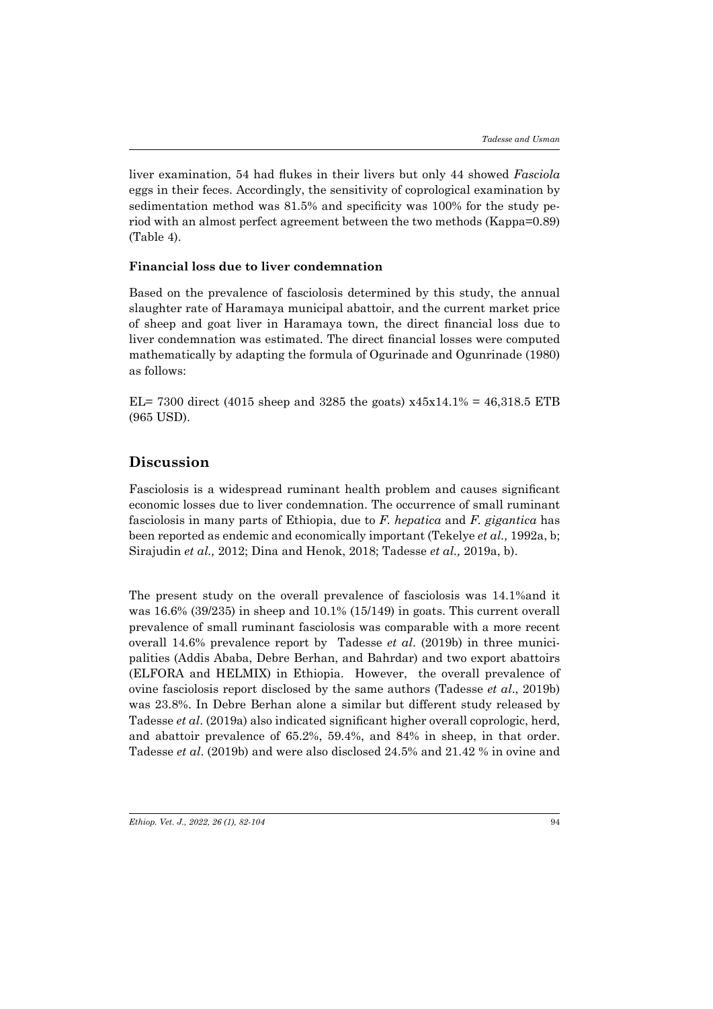liver examination, 54 had flukes in their livers but only 44 showed *Fasciola* eggs in their feces. Accordingly, the sensitivity of coprological examination by sedimentation method was 81.5% and specificity was 100% for the study period with an almost perfect agreement between the two methods (Kappa=0.89) (Table 4).

#### **Financial loss due to liver condemnation**

Based on the prevalence of fasciolosis determined by this study, the annual slaughter rate of Haramaya municipal abattoir, and the current market price of sheep and goat liver in Haramaya town, the direct financial loss due to liver condemnation was estimated. The direct financial losses were computed mathematically by adapting the formula of Ogurinade and Ogunrinade (1980) as follows:

EL= 7300 direct (4015 sheep and 3285 the goats)  $x45x14.1% = 46,318.5$  ETB (965 USD).

# **Discussion**

Fasciolosis is a widespread ruminant health problem and causes significant economic losses due to liver condemnation. The occurrence of small ruminant fasciolosis in many parts of Ethiopia, due to *F. hepatica* and *F. gigantica* has been reported as endemic and economically important (Tekelye *et al.,* 1992a, b; Sirajudin *et al.,* 2012; Dina and Henok, 2018; Tadesse *et al.,* 2019a, b).

The present study on the overall prevalence of fasciolosis was 14.1%and it was 16.6% (39/235) in sheep and 10.1% (15/149) in goats. This current overall prevalence of small ruminant fasciolosis was comparable with a more recent overall 14.6% prevalence report by Tadesse *et al*. (2019b) in three municipalities (Addis Ababa, Debre Berhan, and Bahrdar) and two export abattoirs (ELFORA and HELMIX) in Ethiopia. However, the overall prevalence of ovine fasciolosis report disclosed by the same authors (Tadesse *et al*., 2019b) was 23.8%. In Debre Berhan alone a similar but different study released by Tadesse *et al*. (2019a) also indicated significant higher overall coprologic, herd, and abattoir prevalence of 65.2%, 59.4%, and 84% in sheep, in that order. Tadesse *et al*. (2019b) and were also disclosed 24.5% and 21.42 % in ovine and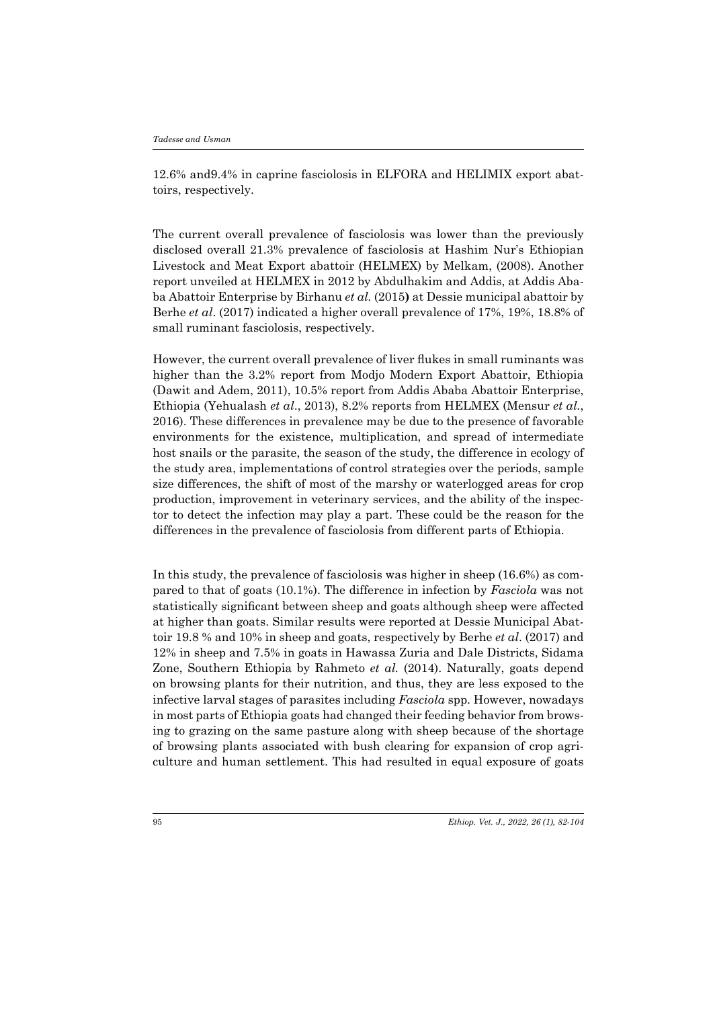12.6% and9.4% in caprine fasciolosis in ELFORA and HELIMIX export abattoirs, respectively.

The current overall prevalence of fasciolosis was lower than the previously disclosed overall 21.3% prevalence of fasciolosis at Hashim Nur's Ethiopian Livestock and Meat Export abattoir (HELMEX) by Melkam, (2008). Another report unveiled at HELMEX in 2012 by Abdulhakim and Addis, at Addis Ababa Abattoir Enterprise by Birhanu *et al.* (2015**)** at Dessie municipal abattoir by Berhe *et al*. (2017) indicated a higher overall prevalence of 17%, 19%, 18.8% of small ruminant fasciolosis, respectively.

However, the current overall prevalence of liver flukes in small ruminants was higher than the 3.2% report from Modjo Modern Export Abattoir, Ethiopia (Dawit and Adem, 2011), 10.5% report from Addis Ababa Abattoir Enterprise, Ethiopia (Yehualash *et al*., 2013), 8.2% reports from HELMEX (Mensur *et al.*, 2016). These differences in prevalence may be due to the presence of favorable environments for the existence, multiplication, and spread of intermediate host snails or the parasite, the season of the study, the difference in ecology of the study area, implementations of control strategies over the periods, sample size differences, the shift of most of the marshy or waterlogged areas for crop production, improvement in veterinary services, and the ability of the inspector to detect the infection may play a part. These could be the reason for the differences in the prevalence of fasciolosis from different parts of Ethiopia.

In this study, the prevalence of fasciolosis was higher in sheep (16.6%) as compared to that of goats (10.1%). The difference in infection by *Fasciola* was not statistically significant between sheep and goats although sheep were affected at higher than goats. Similar results were reported at Dessie Municipal Abattoir 19.8 % and 10% in sheep and goats, respectively by Berhe *et al*. (2017) and 12% in sheep and 7.5% in goats in Hawassa Zuria and Dale Districts, Sidama Zone, Southern Ethiopia by Rahmeto *et al.* (2014). Naturally, goats depend on browsing plants for their nutrition, and thus, they are less exposed to the infective larval stages of parasites including *Fasciola* spp. However, nowadays in most parts of Ethiopia goats had changed their feeding behavior from browsing to grazing on the same pasture along with sheep because of the shortage of browsing plants associated with bush clearing for expansion of crop agriculture and human settlement. This had resulted in equal exposure of goats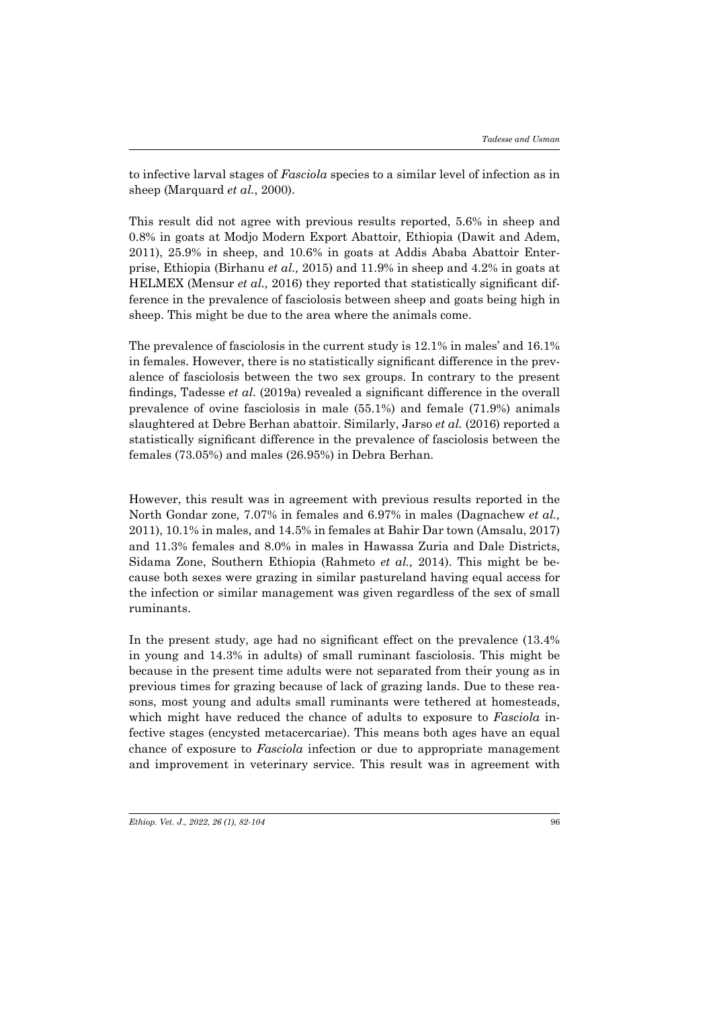to infective larval stages of *Fasciola* species to a similar level of infection as in sheep (Marquard *et al.*, 2000).

This result did not agree with previous results reported, 5.6% in sheep and 0.8% in goats at Modjo Modern Export Abattoir, Ethiopia (Dawit and Adem, 2011), 25.9% in sheep, and 10.6% in goats at Addis Ababa Abattoir Enterprise, Ethiopia (Birhanu *et al.,* 2015) and 11.9% in sheep and 4.2% in goats at HELMEX (Mensur *et al.,* 2016) they reported that statistically significant difference in the prevalence of fasciolosis between sheep and goats being high in sheep. This might be due to the area where the animals come.

The prevalence of fasciolosis in the current study is 12.1% in males' and 16.1% in females. However, there is no statistically significant difference in the prevalence of fasciolosis between the two sex groups. In contrary to the present findings, Tadesse *et al*. (2019a) revealed a significant difference in the overall prevalence of ovine fasciolosis in male (55.1%) and female (71.9%) animals slaughtered at Debre Berhan abattoir. Similarly, Jarso *et al.* (2016) reported a statistically significant difference in the prevalence of fasciolosis between the females (73.05%) and males (26.95%) in Debra Berhan.

However, this result was in agreement with previous results reported in the North Gondar zone*,* 7.07% in females and 6.97% in males (Dagnachew *et al.,*  2011), 10.1% in males, and 14.5% in females at Bahir Dar town (Amsalu, 2017) and 11.3% females and 8.0% in males in Hawassa Zuria and Dale Districts, Sidama Zone, Southern Ethiopia (Rahmeto *et al.,* 2014). This might be because both sexes were grazing in similar pastureland having equal access for the infection or similar management was given regardless of the sex of small ruminants.

In the present study, age had no significant effect on the prevalence (13.4% in young and 14.3% in adults) of small ruminant fasciolosis. This might be because in the present time adults were not separated from their young as in previous times for grazing because of lack of grazing lands. Due to these reasons, most young and adults small ruminants were tethered at homesteads, which might have reduced the chance of adults to exposure to *Fasciola* infective stages (encysted metacercariae). This means both ages have an equal chance of exposure to *Fasciola* infection or due to appropriate management and improvement in veterinary service. This result was in agreement with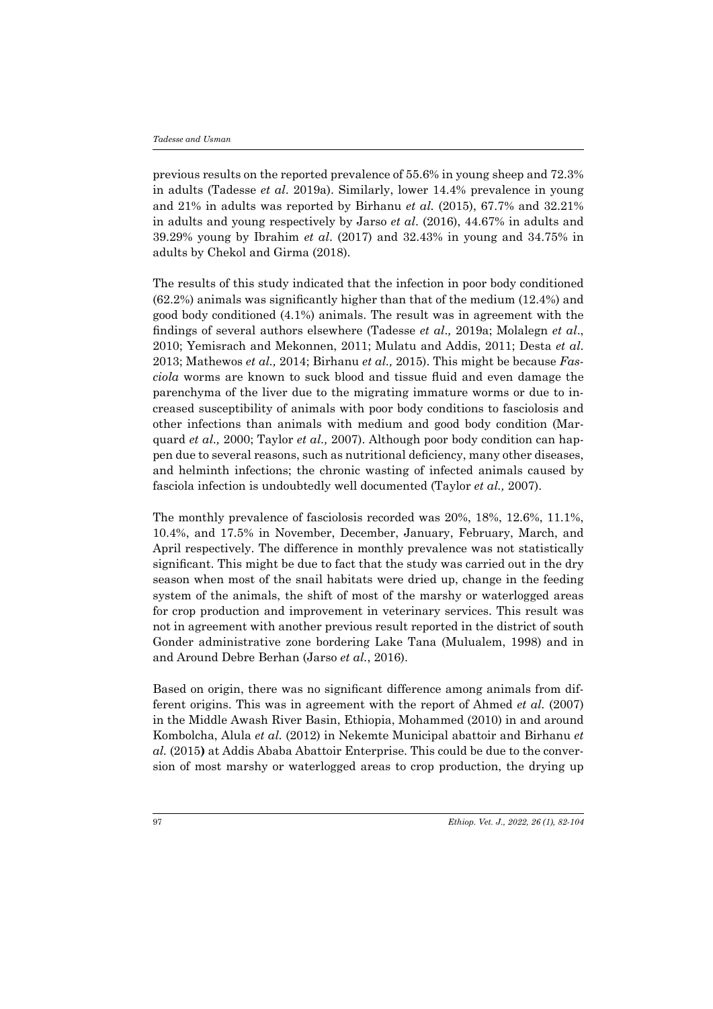previous results on the reported prevalence of 55.6% in young sheep and 72.3% in adults (Tadesse *et al*. 2019a). Similarly, lower 14.4% prevalence in young and 21% in adults was reported by Birhanu *et al.* (2015), 67.7% and 32.21% in adults and young respectively by Jarso *et al*. (2016), 44.67% in adults and 39.29% young by Ibrahim *et al*. (2017) and 32.43% in young and 34.75% in adults by Chekol and Girma (2018).

The results of this study indicated that the infection in poor body conditioned (62.2%) animals was significantly higher than that of the medium (12.4%) and good body conditioned (4.1%) animals. The result was in agreement with the findings of several authors elsewhere (Tadesse *et al*.*,* 2019a; Molalegn *et al*., 2010; Yemisrach and Mekonnen, 2011; Mulatu and Addis, 2011; Desta *et al*. 2013; Mathewos *et al.,* 2014; Birhanu *et al.,* 2015). This might be because *Fasciola* worms are known to suck blood and tissue fluid and even damage the parenchyma of the liver due to the migrating immature worms or due to increased susceptibility of animals with poor body conditions to fasciolosis and other infections than animals with medium and good body condition (Marquard *et al.,* 2000; Taylor *et al.,* 2007). Although poor body condition can happen due to several reasons, such as nutritional deficiency, many other diseases, and helminth infections; the chronic wasting of infected animals caused by fasciola infection is undoubtedly well documented (Taylor *et al.,* 2007).

The monthly prevalence of fasciolosis recorded was 20%, 18%, 12.6%, 11.1%, 10.4%, and 17.5% in November, December, January, February, March, and April respectively. The difference in monthly prevalence was not statistically significant. This might be due to fact that the study was carried out in the dry season when most of the snail habitats were dried up, change in the feeding system of the animals, the shift of most of the marshy or waterlogged areas for crop production and improvement in veterinary services. This result was not in agreement with another previous result reported in the district of south Gonder administrative zone bordering Lake Tana (Mulualem, 1998) and in and Around Debre Berhan (Jarso *et al.*, 2016).

Based on origin, there was no significant difference among animals from different origins. This was in agreement with the report of Ahmed *et al.* (2007) in the Middle Awash River Basin, Ethiopia, Mohammed (2010) in and around Kombolcha, Alula *et al.* (2012) in Nekemte Municipal abattoir and Birhanu *et al.* (2015**)** at Addis Ababa Abattoir Enterprise. This could be due to the conversion of most marshy or waterlogged areas to crop production, the drying up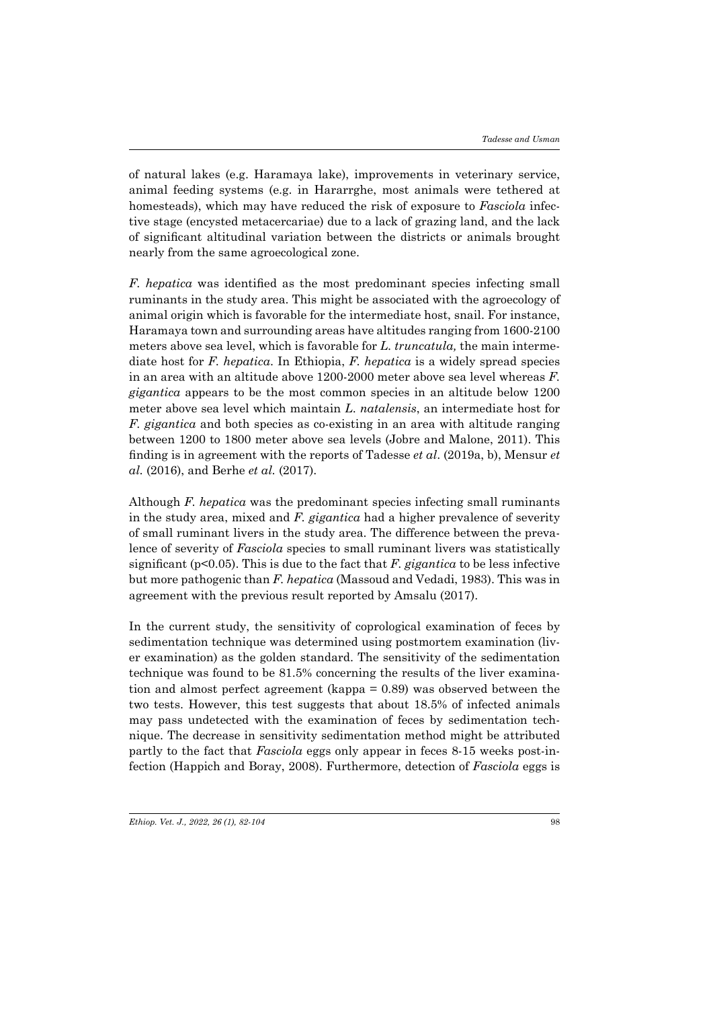of natural lakes (e.g. Haramaya lake), improvements in veterinary service, animal feeding systems (e.g. in Hararrghe, most animals were tethered at homesteads), which may have reduced the risk of exposure to *Fasciola* infective stage (encysted metacercariae) due to a lack of grazing land, and the lack of significant altitudinal variation between the districts or animals brought nearly from the same agroecological zone.

*F. hepatica* was identified as the most predominant species infecting small ruminants in the study area. This might be associated with the agroecology of animal origin which is favorable for the intermediate host, snail. For instance, Haramaya town and surrounding areas have altitudes ranging from 1600-2100 meters above sea level, which is favorable for *L. truncatula,* the main intermediate host for *F. hepatica*. In Ethiopia, *F. hepatica* is a widely spread species in an area with an altitude above 1200-2000 meter above sea level whereas *F. gigantica* appears to be the most common species in an altitude below 1200 meter above sea level which maintain *L*. *natalensis*, an intermediate host for *F. gigantica* and both species as co-existing in an area with altitude ranging between 1200 to 1800 meter above sea levels (Jobre and Malone, 2011). This finding is in agreement with the reports of Tadesse *et al*. (2019a, b), Mensur *et al.* (2016), and Berhe *et al.* (2017).

Although *F. hepatica* was the predominant species infecting small ruminants in the study area, mixed and *F. gigantica* had a higher prevalence of severity of small ruminant livers in the study area. The difference between the prevalence of severity of *Fasciola* species to small ruminant livers was statistically significant (p<0.05). This is due to the fact that *F. gigantica* to be less infective but more pathogenic than *F. hepatica* (Massoud and Vedadi, 1983). This was in agreement with the previous result reported by Amsalu (2017).

In the current study, the sensitivity of coprological examination of feces by sedimentation technique was determined using postmortem examination (liver examination) as the golden standard. The sensitivity of the sedimentation technique was found to be 81.5% concerning the results of the liver examination and almost perfect agreement (kappa = 0.89) was observed between the two tests. However, this test suggests that about 18.5% of infected animals may pass undetected with the examination of feces by sedimentation technique. The decrease in sensitivity sedimentation method might be attributed partly to the fact that *Fasciola* eggs only appear in feces 8-15 weeks post-infection (Happich and Boray, 2008). Furthermore, detection of *Fasciola* eggs is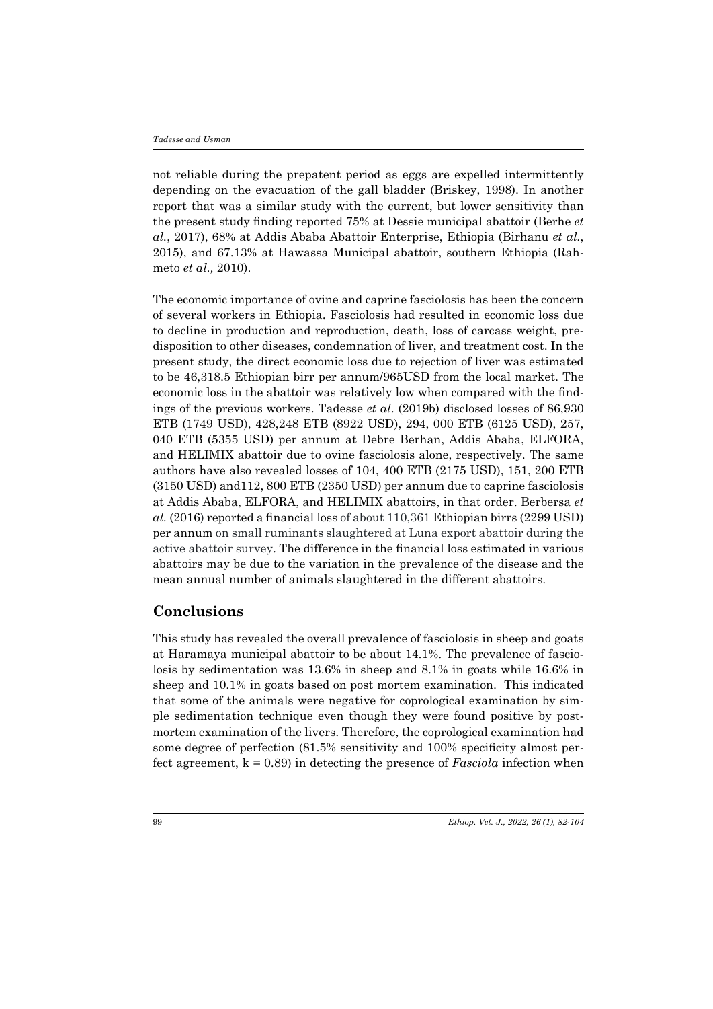not reliable during the prepatent period as eggs are expelled intermittently depending on the evacuation of the gall bladder (Briskey, 1998). In another report that was a similar study with the current, but lower sensitivity than the present study finding reported 75% at Dessie municipal abattoir (Berhe *et al.*, 2017), 68% at Addis Ababa Abattoir Enterprise, Ethiopia (Birhanu *et al.*, 2015), and 67.13% at Hawassa Municipal abattoir, southern Ethiopia (Rahmeto *et al.,* 2010).

The economic importance of ovine and caprine fasciolosis has been the concern of several workers in Ethiopia. Fasciolosis had resulted in economic loss due to decline in production and reproduction, death, loss of carcass weight, predisposition to other diseases, condemnation of liver, and treatment cost. In the present study, the direct economic loss due to rejection of liver was estimated to be 46,318.5 Ethiopian birr per annum/965USD from the local market. The economic loss in the abattoir was relatively low when compared with the findings of the previous workers. Tadesse *et al*. (2019b) disclosed losses of 86,930 ETB (1749 USD), 428,248 ETB (8922 USD), 294, 000 ETB (6125 USD), 257, 040 ETB (5355 USD) per annum at Debre Berhan, Addis Ababa, ELFORA, and HELIMIX abattoir due to ovine fasciolosis alone, respectively. The same authors have also revealed losses of 104, 400 ETB (2175 USD), 151, 200 ETB (3150 USD) and112, 800 ETB (2350 USD) per annum due to caprine fasciolosis at Addis Ababa, ELFORA, and HELIMIX abattoirs, in that order. Berbersa *et al.* (2016) reported a financial loss of about 110,361 Ethiopian birrs (2299 USD) per annum on small ruminants slaughtered at Luna export abattoir during the active abattoir survey. The difference in the financial loss estimated in various abattoirs may be due to the variation in the prevalence of the disease and the mean annual number of animals slaughtered in the different abattoirs.

### **Conclusions**

This study has revealed the overall prevalence of fasciolosis in sheep and goats at Haramaya municipal abattoir to be about 14.1%. The prevalence of fasciolosis by sedimentation was 13.6% in sheep and 8.1% in goats while 16.6% in sheep and 10.1% in goats based on post mortem examination. This indicated that some of the animals were negative for coprological examination by simple sedimentation technique even though they were found positive by postmortem examination of the livers. Therefore, the coprological examination had some degree of perfection (81.5% sensitivity and 100% specificity almost perfect agreement, k = 0.89) in detecting the presence of *Fasciola* infection when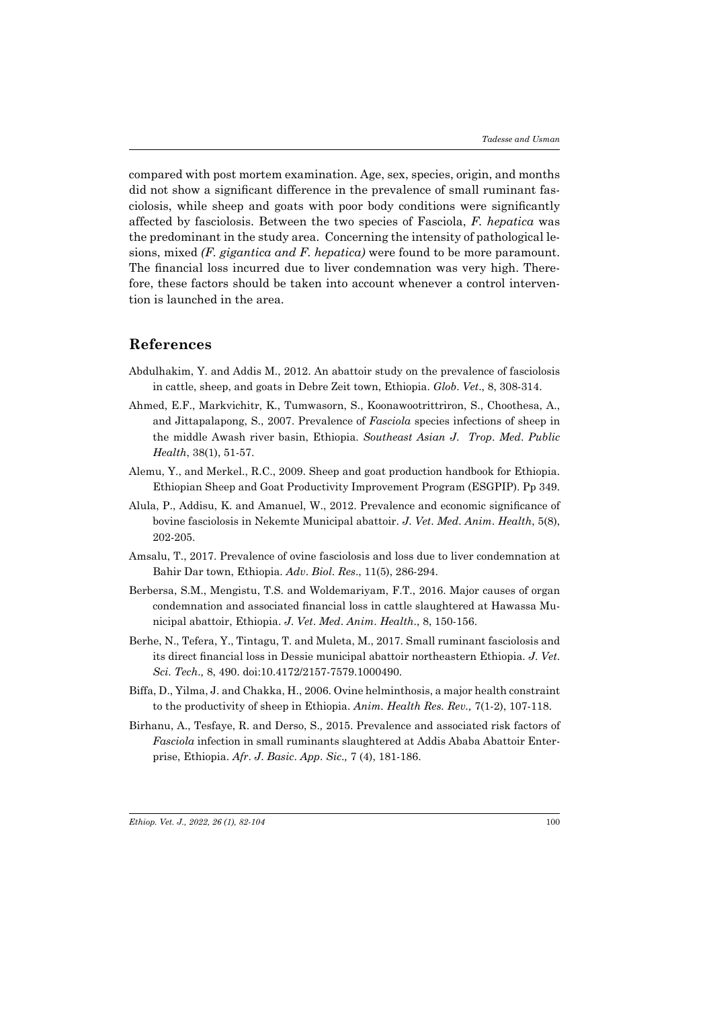compared with post mortem examination. Age, sex, species, origin, and months did not show a significant difference in the prevalence of small ruminant fasciolosis, while sheep and goats with poor body conditions were significantly affected by fasciolosis. Between the two species of Fasciola, *F. hepatica* was the predominant in the study area. Concerning the intensity of pathological lesions, mixed *(F. gigantica and F. hepatica)* were found to be more paramount. The financial loss incurred due to liver condemnation was very high. Therefore, these factors should be taken into account whenever a control intervention is launched in the area.

### **References**

- Abdulhakim, Y. and Addis M., 2012. An abattoir study on the prevalence of fasciolosis in cattle, sheep, and goats in Debre Zeit town, Ethiopia. *Glob*. *Vet*., 8, 308-314.
- Ahmed, E.F., Markvichitr, K., Tumwasorn, S., Koonawootrittriron, S., Choothesa, A., and Jittapalapong, S., 2007. Prevalence of *Fasciola* species infections of sheep in the middle Awash river basin, Ethiopia. *Southeast Asian J*. *Trop*. *Med*. *Public Health*, 38(1), 51-57.
- Alemu, Y., and Merkel., R.C., 2009. Sheep and goat production handbook for Ethiopia. Ethiopian Sheep and Goat Productivity Improvement Program (ESGPIP). Pp 349.
- Alula, P., Addisu, K. and Amanuel, W., 2012. Prevalence and economic significance of bovine fasciolosis in Nekemte Municipal abattoir. *J*. *Vet*. *Med*. *Anim*. *Health*, 5(8), 202-205.
- Amsalu, T., 2017. Prevalence of ovine fasciolosis and loss due to liver condemnation at Bahir Dar town, Ethiopia. *Adv*. *Biol*. *Res*., 11(5), 286-294.
- Berbersa, S.M., Mengistu, T.S. and Woldemariyam, F.T., 2016. Major causes of organ condemnation and associated financial loss in cattle slaughtered at Hawassa Municipal abattoir, Ethiopia. *J*. *Vet*. *Med*. *Anim*. *Health*., 8, 150-156.
- Berhe, N., Tefera, Y., Tintagu, T. and Muleta, M., 2017. Small ruminant fasciolosis and its direct financial loss in Dessie municipal abattoir northeastern Ethiopia. *J*. *Vet*. *Sci*. *Tech*.*,* 8, 490. doi:10.4172/2157-7579.1000490.
- Biffa, D., Yilma, J. and Chakka, H., 2006. Ovine helminthosis, a major health constraint to the productivity of sheep in Ethiopia. *Anim. Health Res. Rev.,* 7(1-2), 107-118.
- Birhanu, A., Tesfaye, R. and Derso, S.*,* 2015. Prevalence and associated risk factors of *Fasciola* infection in small ruminants slaughtered at Addis Ababa Abattoir Enterprise, Ethiopia. *Afr*. *J*. *Basic*. *App*. *Sic*.*,* 7 (4), 181-186.

*Ethiop. Vet. J., 2022, 26 (1), 82-104*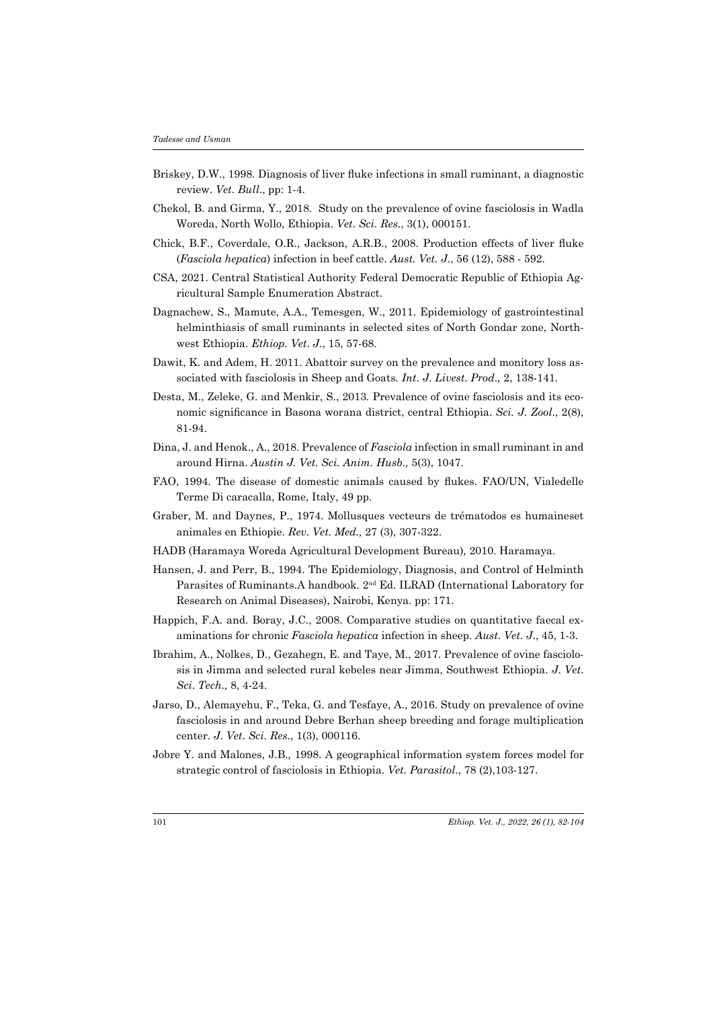- Briskey, D.W., 1998. Diagnosis of liver fluke infections in small ruminant, a diagnostic review. *Vet*. *Bull*., pp: 1-4.
- Chekol, B. and Girma, Y., 2018. Study on the prevalence of ovine fasciolosis in Wadla Woreda, North Wollo, Ethiopia. *Vet*. *Sci*. *Res*., 3(1), 000151.
- Chick, B.F., Coverdale, O.R., Jackson, A.R.B., 2008. Production effects of liver fluke (*Fasciola hepatica*) infection in beef cattle. *Aust. Vet. J*., 56 (12), 588 - 592.
- CSA, 2021. Central Statistical Authority Federal Democratic Republic of Ethiopia Agricultural Sample Enumeration Abstract.
- Dagnachew, S., Mamute, A.A., Temesgen, W., 2011. Epidemiology of gastrointestinal helminthiasis of small ruminants in selected sites of North Gondar zone, Northwest Ethiopia. *Ethiop. Vet*. *J.*, 15, 57-68.
- Dawit, K. and Adem, H. 2011. Abattoir survey on the prevalence and monitory loss associated with fasciolosis in Sheep and Goats*. Int*. *J*. *Livest*. *Prod*.*,* 2, 138-141*.*
- Desta, M., Zeleke, G. and Menkir, S., 2013*.* Prevalence of ovine fasciolosis and its economic significance in Basona worana district, central Ethiopia. *Sci. J. Zool*., 2(8), 81-94.
- Dina, J. and Henok., A., 2018. Prevalence of *Fasciola* infection in small ruminant in and around Hirna. *Austin J. Vet. Sci. Anim. Husb.,* 5(3), 1047.
- FAO, 1994. The disease of domestic animals caused by flukes. FAO/UN, Vialedelle Terme Di caracalla, Rome, Italy, 49 pp.
- Graber, M. and Daynes, P., 1974. Mollusques vecteurs de trématodos es humaineset animales en Ethiopie. *Rev*. *Vet. Med.,* 27 (3), 307-322.
- HADB (Haramaya Woreda Agricultural Development Bureau)*,* 2010. Haramaya.
- Hansen, J. and Perr, B., 1994. The Epidemiology, Diagnosis, and Control of Helminth Parasites of Ruminants.A handbook. 2nd Ed. ILRAD (International Laboratory for Research on Animal Diseases), Nairobi, Kenya. pp: 171.
- Happich, F.A. and. Boray, J.C., 2008. Comparative studies on quantitative faecal examinations for chronic *Fasciola hepatica* infection in sheep. *Aust*. *Vet*. *J*., 45, 1-3.
- Ibrahim, A., Nolkes, D., Gezahegn, E. and Taye, M., 2017. Prevalence of ovine fasciolosis in Jimma and selected rural kebeles near Jimma, Southwest Ethiopia. *J*. *Vet*. *Sci*. *Tech*.*,* 8, 4-24.
- Jarso, D., Alemayehu, F., Teka, G. and Tesfaye, A., 2016. Study on prevalence of ovine fasciolosis in and around Debre Berhan sheep breeding and forage multiplication center. *J*. *Vet*. *Sci*. *Res*., 1(3), 000116.
- Jobre Y. and Malones, J.B.*,* 1998. A geographical information system forces model for strategic control of fasciolosis in Ethiopia. *Vet. Parasitol*., 78 (2),103-127.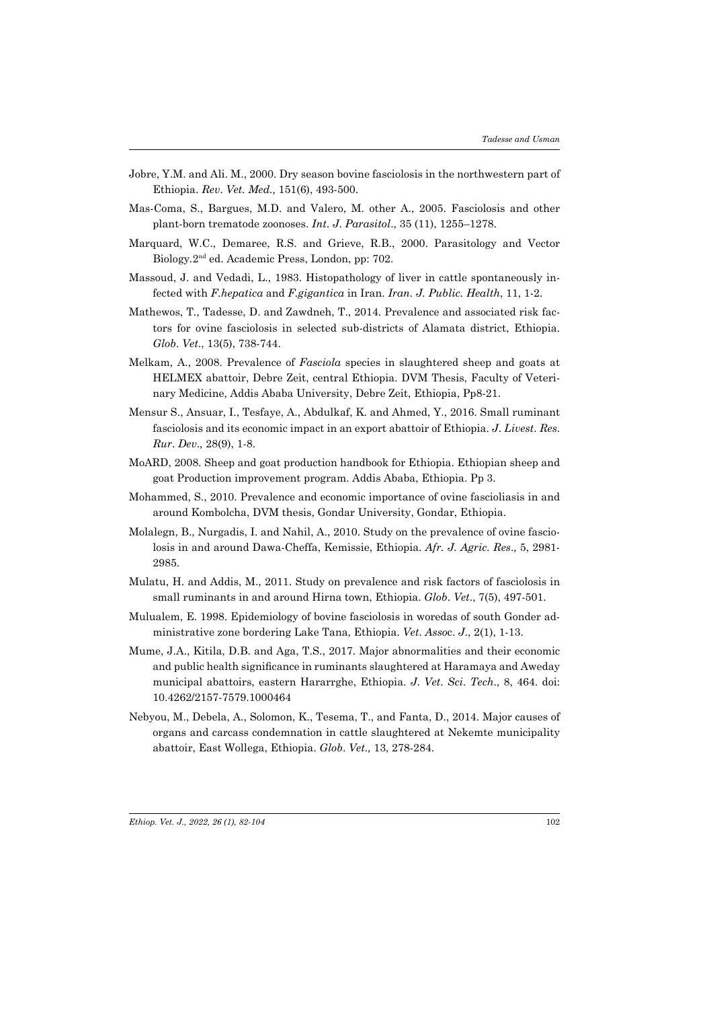- Jobre, Y.M. and Ali. M., 2000. Dry season bovine fasciolosis in the northwestern part of Ethiopia. *Rev*. *Vet. Med.,* 151(6), 493-500.
- Mas-Coma, S., Bargues, M.D. and Valero, M. other A., 2005. Fasciolosis and other plant-born trematode zoonoses. *Int*. *J*. *Parasitol*., 35 (11), 1255–1278.
- Marquard, W.C., Demaree, R.S. and Grieve, R.B., 2000. Parasitology and Vector Biology*.*2nd ed. Academic Press, London, pp: 702.
- Massoud, J. and Vedadi, L., 1983. Histopathology of liver in cattle spontaneously infected with *F.hepatica* and *F.gigantica* in Iran. *Iran. J. Public. Health*, 11, 1-2.
- Mathewos, T., Tadesse, D. and Zawdneh, T., 2014. Prevalence and associated risk factors for ovine fasciolosis in selected sub-districts of Alamata district, Ethiopia. *Glob*. *Vet*., 13(5), 738-744.
- Melkam, A., 2008. Prevalence of *Fasciola* species in slaughtered sheep and goats at HELMEX abattoir, Debre Zeit, central Ethiopia. DVM Thesis, Faculty of Veterinary Medicine, Addis Ababa University, Debre Zeit, Ethiopia, Pp8-21.
- Mensur S., Ansuar, I., Tesfaye, A., Abdulkaf, K. and Ahmed, Y., 2016. Small ruminant fasciolosis and its economic impact in an export abattoir of Ethiopia. *J*. *Livest*. *Res*. *Rur*. *Dev*.*,* 28(9), 1-8.
- MoARD, 2008. Sheep and goat production handbook for Ethiopia. Ethiopian sheep and goat Production improvement program. Addis Ababa, Ethiopia. Pp 3.
- Mohammed, S., 2010. Prevalence and economic importance of ovine fascioliasis in and around Kombolcha, DVM thesis, Gondar University, Gondar, Ethiopia.
- Molalegn, B., Nurgadis, I. and Nahil, A., 2010. Study on the prevalence of ovine fasciolosis in and around Dawa-Cheffa, Kemissie, Ethiopia. *Afr. J. Agric. Res*.*,* 5, 2981- 2985.
- Mulatu, H. and Addis, M., 2011. Study on prevalence and risk factors of fasciolosis in small ruminants in and around Hirna town, Ethiopia. *Glob*. *Vet*., 7(5), 497-501.
- Mulualem, E. 1998. Epidemiology of bovine fasciolosis in woredas of south Gonder administrative zone bordering Lake Tana, Ethiopia. *Vet*. *Asso*c. *J*., 2(1), 1-13.
- Mume, J.A., Kitila, D.B. and Aga, T.S., 2017. Major abnormalities and their economic and public health significance in ruminants slaughtered at Haramaya and Aweday municipal abattoirs, eastern Hararrghe, Ethiopia. *J*. *Vet*. *Sci*. *Tech*., 8, 464. doi: 10.4262/2157-7579.1000464
- Nebyou, M., Debela, A., Solomon, K., Tesema, T., and Fanta, D., 2014. Major causes of organs and carcass condemnation in cattle slaughtered at Nekemte municipality abattoir, East Wollega, Ethiopia. *Glob*. *Vet*.*,* 13, 278-284.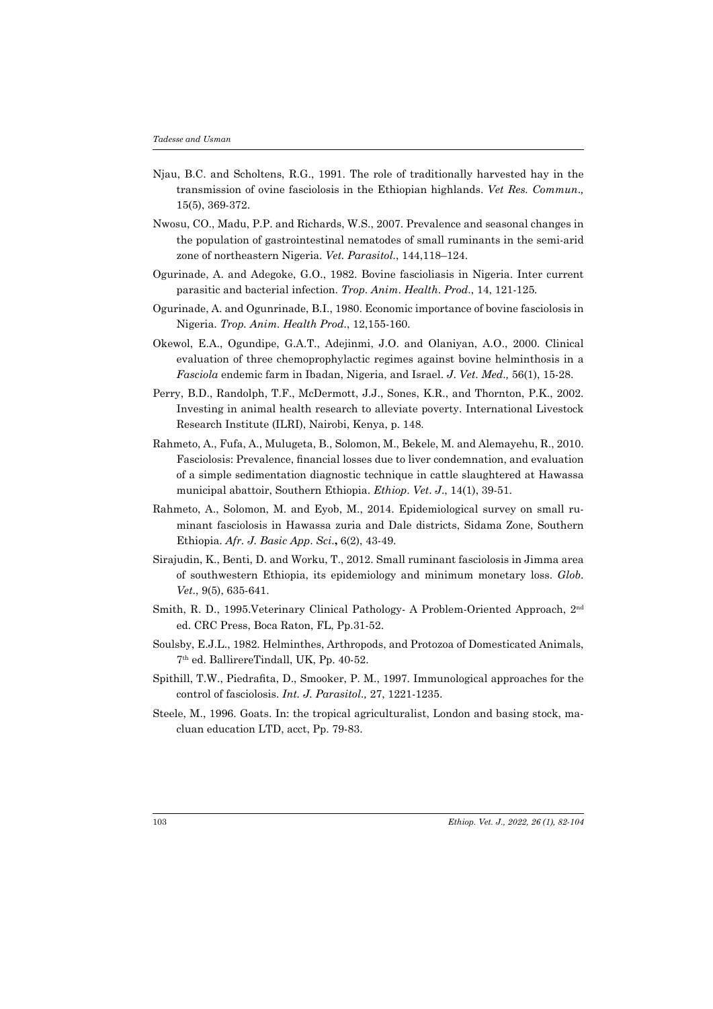- Njau, B.C. and Scholtens, R.G., 1991. The role of traditionally harvested hay in the transmission of ovine fasciolosis in the Ethiopian highlands. *Vet Res. Commun*.*,* 15(5), 369-372.
- Nwosu, CO., Madu, P.P. and Richards, W.S., 2007. Prevalence and seasonal changes in the population of gastrointestinal nematodes of small ruminants in the semi-arid zone of northeastern Nigeria. *Vet. Parasitol.*, 144,118–124.
- Ogurinade, A. and Adegoke, G.O., 1982. Bovine fascioliasis in Nigeria. Inter current parasitic and bacterial infection. *Trop*. *Anim*. *Health*. *Prod*., 14, 121-125*.*
- Ogurinade, A. and Ogunrinade, B.I., 1980. Economic importance of bovine fasciolosis in Nigeria. *Trop. Anim. Health Prod.*, 12,155-160.
- Okewol, E.A., Ogundipe, G.A.T., Adejinmi, J.O. and Olaniyan, A.O., 2000. Clinical evaluation of three chemoprophylactic regimes against bovine helminthosis in a *Fasciola* endemic farm in Ibadan, Nigeria, and Israel. *J*. *Vet*. *Med*.*,* 56(1), 15-28.
- Perry, B.D., Randolph, T.F., McDermott, J.J., Sones, K.R., and Thornton, P.K., 2002. Investing in animal health research to alleviate poverty. International Livestock Research Institute (ILRI), Nairobi, Kenya, p. 148.
- Rahmeto, A., Fufa, A., Mulugeta, B., Solomon, M., Bekele, M. and Alemayehu, R., 2010. Fasciolosis: Prevalence, financial losses due to liver condemnation, and evaluation of a simple sedimentation diagnostic technique in cattle slaughtered at Hawassa municipal abattoir, Southern Ethiopia. *Ethiop*. *Vet*. *J*., 14(1), 39-51.
- Rahmeto, A., Solomon, M. and Eyob, M., 2014. Epidemiological survey on small ruminant fasciolosis in Hawassa zuria and Dale districts, Sidama Zone, Southern Ethiopia. *Afr. J. Basic App*. *Sci*.**,** 6(2), 43-49.
- Sirajudin, K., Benti, D. and Worku, T., 2012. Small ruminant fasciolosis in Jimma area of southwestern Ethiopia, its epidemiology and minimum monetary loss. *Glob*. *Vet*., 9(5), 635-641.
- Smith, R. D., 1995.Veterinary Clinical Pathology- A Problem-Oriented Approach, 2nd ed. CRC Press, Boca Raton, FL, Pp.31-52.
- Soulsby, E.J.L., 1982. Helminthes, Arthropods, and Protozoa of Domesticated Animals, 7th ed. BallirereTindall, UK, Pp. 40-52.
- Spithill, T.W., Piedrafita, D., Smooker, P. M., 1997. Immunological approaches for the control of fasciolosis. *Int. J. Parasitol.,* 27, 1221-1235.
- Steele, M., 1996. Goats. In: the tropical agriculturalist, London and basing stock, macluan education LTD, acct, Pp. 79-83.